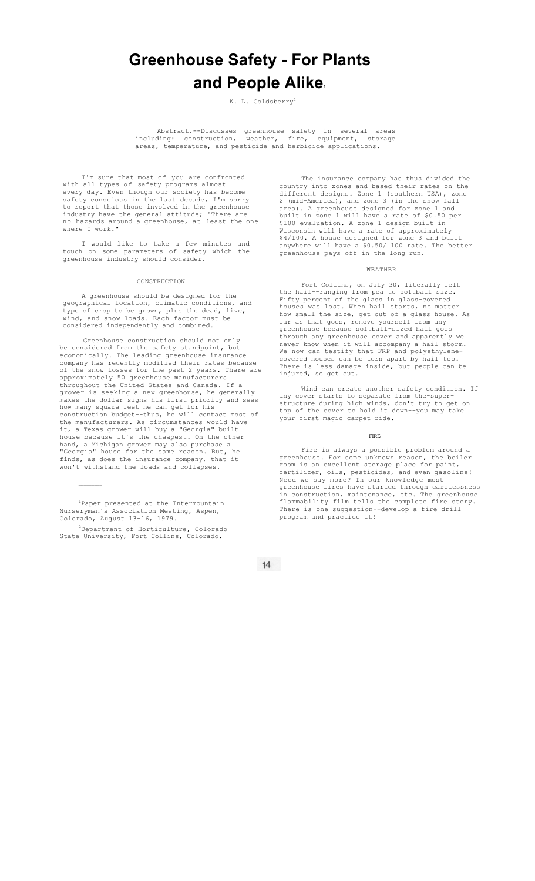# **Greenhouse Safety - For Plants and People Alike1**

K. L. Goldsberry<sup>2</sup>

Abstract.--Discusses greenhouse safety in several areas including: construction, weather, fire, equipment, storage areas, temperature, and pesticide and herbicide applications.

I'm sure that most of you are confronted with all types of safety programs almost every day. Even though our society has become safety conscious in the last decade, I'm sorry to report that those involved in the greenhouse industry have the general attitude; "There are no hazards around a greenhouse, at least the one where I work."

I would like to take a few minutes and touch on some parameters of safety which the greenhouse industry should consider.

#### **CONSTRUCTION**

A greenhouse should be designed for the geographical location, climatic conditions, and type of crop to be grown, plus the dead, live, wind, and snow loads. Each factor must be considered independently and combined.

Greenhouse construction should not only be considered from the safety standpoint, but economically. The leading greenhouse insurance company has recently modified their rates because of the snow losses for the past 2 years. There are approximately 50 greenhouse manufacturers throughout the United States and Canada. If a grower is seeking a new greenhouse, he generally makes the dollar signs his first priority and sees how many square feet he can get for his construction budget--thus, he will contact most of the manufacturers. As circumstances would have it, a Texas grower will buy a "Georgia" built house because it's the cheapest. On the other hand, a Michigan grower may also purchase a "Georgia" house for the same reason. But, he finds, as does the insurance company, that it won't withstand the loads and collapses.

1 Paper presented at the Intermountain Nurseryman's Association Meeting, Aspen, Colorado, August 13-16, 1979.

 $\mathcal{L}_\text{max}$ 

2Department of Horticulture, Colorado State University, Fort Collins, Colorado.

The insurance company has thus divided the country into zones and based their rates on the different designs. Zone 1 (southern USA), zone 2 (mid-America), and zone 3 (in the snow fall area). A greenhouse designed for zone 1 and built in zone 1 will have a rate of \$0.50 per \$100 evaluation. A zone 1 design built in Wisconsin will have a rate of approximately \$4/100. A house designed for zone 3 and built anywhere will have a \$0.50/ 100 rate. The better greenhouse pays off in the long run.

### WEATHER

Fort Collins, on July 30, literally felt the hail--ranging from pea to softball size. Fifty percent of the glass in glass-covered houses was lost. When hail starts, no matter how small the size, get out of a glass house. As far as that goes, remove yourself from any greenhouse because softball-sized hail goes through any greenhouse cover and apparently we never know when it will accompany a hail storm. We now can testify that FRP and polyethylenecovered houses can be torn apart by hail too. There is less damage inside, but people can be injured, so get out.

Wind can create another safety condition. If any cover starts to separate from the-superstructure during high winds, don't try to get on top of the cover to hold it down--you may take your first magic carpet ride.

#### FIRE

Fire is always a possible problem around a greenhouse. For some unknown reason, the boiler room is an excellent storage place for paint, fertilizer, oils, pesticides, and even gasoline! Need we say more? In our knowledge most greenhouse fires have started through carelessness in construction, maintenance, etc. The greenhouse flammability film tells the complete fire story. There is one suggestion--develop a fire drill program and practice it!

 $14$